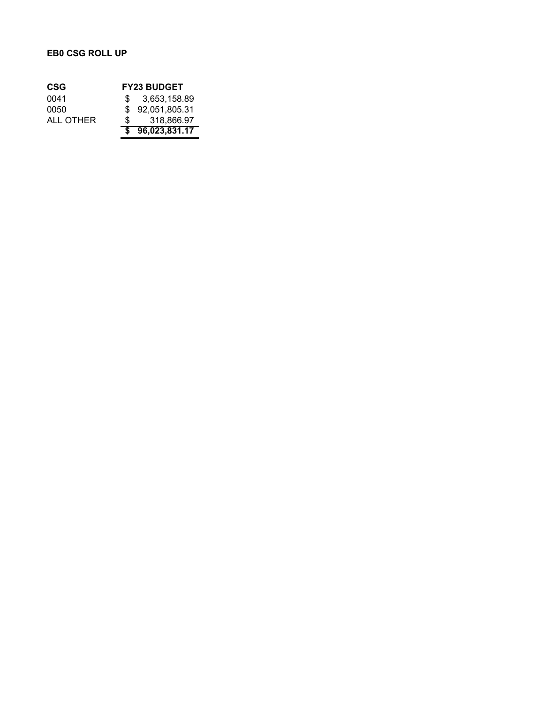## **EB0 CSG ROLL UP**

| CSG       | <b>FY23 BUDGET</b> |
|-----------|--------------------|
| 0041      | \$3,653,158.89     |
| 0050      | \$92,051,805.31    |
| ALL OTHER | \$<br>318.866.97   |
|           | \$96,023,831.17    |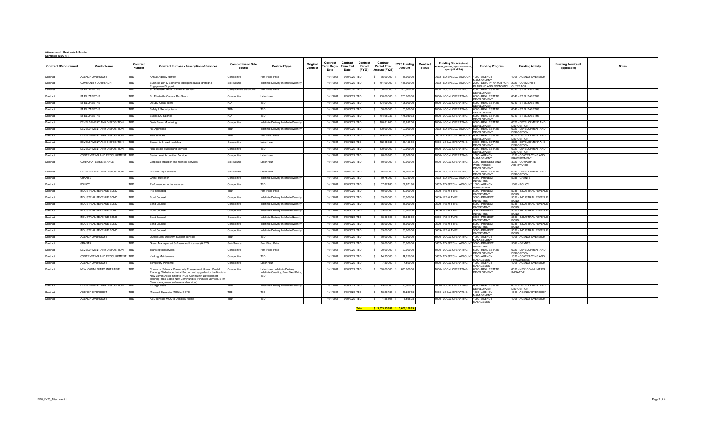| <u>Contracts (CSG 41)</u>     |                                    |                                  |                                                                                                                                                                                                                                                                                                      |                                             |                                                                           |                             |                                                           |                         |                                            |                                                                |                               |                                  |                                                                                        |                                          |                                              |                                           |              |
|-------------------------------|------------------------------------|----------------------------------|------------------------------------------------------------------------------------------------------------------------------------------------------------------------------------------------------------------------------------------------------------------------------------------------------|---------------------------------------------|---------------------------------------------------------------------------|-----------------------------|-----------------------------------------------------------|-------------------------|--------------------------------------------|----------------------------------------------------------------|-------------------------------|----------------------------------|----------------------------------------------------------------------------------------|------------------------------------------|----------------------------------------------|-------------------------------------------|--------------|
| <b>Contract / Procurement</b> | <b>Vendor Name</b>                 | <b>Contract</b><br><b>Number</b> | <b>Contract Purpose - Description of Services</b>                                                                                                                                                                                                                                                    | <b>Competitive or Sole</b><br><b>Source</b> | <b>Contract Type</b>                                                      | Original<br><b>Contract</b> | <b>Contract</b><br>  Term Begin   Term End<br><b>Date</b> | Contract<br><b>Date</b> | <b>Contract</b><br><b>Period</b><br>(FY23) | <b>Contract</b><br><b>Period Total</b><br><b>Amount (FY23)</b> | FY23 Funding<br><b>Amount</b> | <b>Contract</b><br><b>Status</b> | <b>Funding Source (local,</b><br>federal, private, special revenue<br>specify if ARPA) | <b>Funding Program</b>                   | <b>Funding Activity</b>                      | <b>Funding Service (if</b><br>applicable) | <b>Notes</b> |
| Contract                      | <b>AGENCY OVERSIGHT</b>            | TBD                              | Annual Agency Retreat                                                                                                                                                                                                                                                                                | Competitive                                 | Firm Fixed Price                                                          |                             | 10/1/2021                                                 | 9/30/2022 TBD           |                                            | $35,000.00$ \$                                                 | 35,000.00                     |                                  | 0632 - ED SPECIAL ACCOUNT 1000 - AGENCY                                                | <b>MANAGEMENT</b>                        | 1001 - AGENCY OVERSIGHT                      |                                           |              |
| Contract                      | COMMUNITY OUTREACH                 | TRD.                             | Business Dev & Economic Intelligence Data Strategy &<br>Engagement Support                                                                                                                                                                                                                           | Sole Source                                 | Indefinite Delivery Indefinite Quantity                                   |                             | 10/1/2021                                                 | 9/30/2022 TBD           |                                            |                                                                | 411,000.00   \$411,000.00     |                                  | 0632 - ED SPECIAL ACCOUNT 2000 - DEPUTY MAYOR FOR 2020 - COMMUNITY                     | LANNING AND ECONOMIC   OUTREACH          |                                              |                                           |              |
| Contract                      | ST ELIZABETHS                      | TBD                              | St. Elizabeth MAINTENANCE services                                                                                                                                                                                                                                                                   | <b>Competitive/Sole Source</b>              | Firm Fixed Price                                                          |                             | 10/1/2021                                                 | 9/30/2022 TBD           |                                            |                                                                | $200,000.00$ \$ 200,000.00    |                                  | 1000 - LOCAL OPERATING                                                                 | 6000 - REAL ESTATE<br>DEVELOPMENT        | 6040 - ST ELIZABETHS                         |                                           |              |
| Contract                      | ST ELIZABETHS                      | <b>TBD</b>                       | St. Elizabeths Owners Rep Srvcs                                                                                                                                                                                                                                                                      | Competitive                                 | Labor Hour                                                                |                             | 10/1/2021                                                 | 9/30/2022 TBD           |                                            | $200,000.00$ \$                                                | 200,000.00                    |                                  | 1000 - LOCAL OPERATING                                                                 | 6000 - REAL ESTATE<br>DEVELOPMENT        | 6040 - ST ELIZABETHS                         |                                           |              |
| Contract                      | ST ELIZABETHS                      | l TBD                            | <b>DSLBD Clean Team</b>                                                                                                                                                                                                                                                                              | NI/∆                                        | rrn                                                                       |                             | 10/1/2021                                                 | 9/30/2022 TBD           |                                            | 124,000.00 \$                                                  | 124,000.00                    |                                  | 1000 - LOCAL OPERATING                                                                 | 6000 - REAL ESTATE<br><b>DEVELOPMENT</b> | 6040 - ST ELIZABETHS                         |                                           |              |
| Contract                      | ST ELIZABETHS                      | TBD                              | Safety & Security Items                                                                                                                                                                                                                                                                              | FRD.                                        |                                                                           |                             | 10/1/2021                                                 | 9/30/2022 TBD           |                                            | $50,000.00$ \$                                                 | 50,000.00                     |                                  | 1000 - LOCAL OPERATING                                                                 | 6000 - REAL ESTATE<br>DEVELOPMENT        | 6040 - ST ELIZABETHS                         |                                           |              |
| Contract                      | ST ELIZABETHS                      | TRD                              | Events DC Salaries                                                                                                                                                                                                                                                                                   |                                             |                                                                           |                             | 10/1/2021                                                 | 9/30/2022 TBD           |                                            | 474,980.33 \$                                                  | 474,980.33                    |                                  | 1000 - LOCAL OPERATING                                                                 | 6000 - REAL ESTATE<br><b>DEVELOPMENT</b> | 6040 - ST ELIZABETHS                         |                                           |              |
| Contract                      | <b>DEVELOPMENT AND DISPOSITION</b> | <b>TBD</b>                       | Davis Bacon Monitoring                                                                                                                                                                                                                                                                               | Competitive                                 | Indefinite Delivery Indefinite Quantity                                   |                             | 10/1/2021                                                 | 9/30/2022 TBD           |                                            | 198,812.00 \$                                                  | 198,812.00                    |                                  | 1000 - LOCAL OPERATING                                                                 | 6000 - REAL ESTATE<br>DEVELOPMENT        | 6020 - DEVELOPMENT AND<br><b>DISPOSITION</b> |                                           |              |
| Contract                      | DEVELOPMENT AND DISPOSITION   TBD  |                                  | RE Appraisals                                                                                                                                                                                                                                                                                        | rrn                                         | Indefinite Delivery Indefinite Quantity                                   |                             | 10/1/2021                                                 | 9/30/2022 TBD           |                                            | $100,000.00$ \$                                                | 100,000.00                    |                                  | 0632 - ED SPECIAL ACCOUNT 6000 - REAL ESTATE                                           |                                          | 6020 - DEVELOPMENT AND                       |                                           |              |
| Contract                      | DEVELOPMENT AND DISPOSITION   TBD  |                                  | Title services                                                                                                                                                                                                                                                                                       | rrn                                         | Firm Fixed Price                                                          |                             | 10/1/2021                                                 | 9/30/2022 TBD           |                                            | 125,000.00 \$                                                  | 125,000.00                    |                                  | 0632 - ED SPECIAL ACCOUNT 6000 - REAL ESTATE                                           | <b>DEVELOPMENT</b>                       | <b>DISPOSITION</b><br>6020 - DEVELOPMENT AND |                                           |              |
| Contract                      | DEVELOPMENT AND DISPOSITION        |                                  | Economic Impact modeling                                                                                                                                                                                                                                                                             | Competitive                                 | Labor Hour                                                                |                             | 10/1/2021                                                 | 9/30/2022 TBD           |                                            | 122,150.80 \$                                                  | 122,150.80                    |                                  | 1000 - LOCAL OPERATING                                                                 | DEVELOPMENT<br>6000 - REAL ESTATE        | <b>DISPOSITION</b><br>6020 - DEVELOPMENT AND |                                           |              |
| Contract                      | DEVELOPMENT AND DISPOSITION        |                                  | Real Estate studies and Services                                                                                                                                                                                                                                                                     | Competitive                                 | FRD.                                                                      |                             | 10/1/2021                                                 | 9/30/2022 TBD           |                                            | $100,000.00$ \$                                                | 100,000.00                    |                                  | 1000 - LOCAL OPERATING                                                                 | <b>DEVELOPMENT</b><br>6000 - REAL ESTATE | <b>DISPOSITION</b><br>6020 - DEVELOPMENT AND |                                           |              |
| Contract                      | CONTRACTING AND PROCUREMENT TBD    |                                  | <b>Senior Level Acquisition Services</b>                                                                                                                                                                                                                                                             | Competitive                                 | Labor Hour                                                                |                             | 10/1/2021                                                 | 9/30/2022 TBD           |                                            | 98,008.00 \$                                                   | 98,008.00                     |                                  | 1000 - LOCAL OPERATING                                                                 | DEVELOPMENT<br>1000 - AGENCY             | <b>DISPOSITION</b><br>1020 - CONTRACTING AND |                                           |              |
| Contract                      | <b>CORPORATE ASSISTANCE</b>        | l TBD                            | Corporate attraction and retention services                                                                                                                                                                                                                                                          | Sole Source                                 | Labor Hour                                                                |                             | 10/1/2021                                                 | 9/30/2022 TBD           |                                            | 80,000.00 \$                                                   | 80,000.00                     |                                  | 1000 - LOCAL OPERATING                                                                 | <b>MANAGEMENT</b><br>3000 - BUSINESS AND | PROCUREMENT<br>3020 - CORPORATE              |                                           |              |
|                               |                                    |                                  |                                                                                                                                                                                                                                                                                                      |                                             |                                                                           |                             |                                                           |                         |                                            |                                                                |                               |                                  |                                                                                        | <b>NORKFORCE</b><br><b>DEVELOPMENT</b>   | <b>ASSISTANCE</b>                            |                                           |              |
| Contract                      | DEVELOPMENT AND DISPOSITION   TBD  |                                  | <b>WRAMC</b> legal services                                                                                                                                                                                                                                                                          | Sole Source                                 | Labor Hour                                                                |                             |                                                           | 10/1/2021 9/30/2022 TBD |                                            | $\frac{1}{3}$ 75,000.00 \$ 75,000.00                           |                               |                                  | 1000 - LOCAL OPERATING   6000 - REAL ESTATE                                            | <b>DEVELOPMENT</b>                       | 6020 - DEVELOPMENT AND<br><b>DISPOSITION</b> |                                           |              |
| Contract                      | <b>GRANTS</b>                      |                                  | <b>Grants Reviewer</b>                                                                                                                                                                                                                                                                               | Competitive                                 | Indefinite Delivery Indefinite Quantity                                   |                             |                                                           | 10/1/2021 9/30/2022 TBD |                                            | 69,750.00 \$                                                   | 69,750.00                     |                                  | 0632 - ED SPECIAL ACCOUNT 5000 - PROJECT                                               | <b>INVESTMENT</b>                        | 5085 - GRANTS                                |                                           |              |
| Contract                      | <b>POLICY</b>                      | FBD.                             | Performance metrics services                                                                                                                                                                                                                                                                         | Competitive                                 |                                                                           |                             |                                                           | 10/1/2021 9/30/2022 TBD |                                            |                                                                | 67,871.80 \$ 67,871.80        |                                  | 0632 - ED SPECIAL ACCOUNT 1000 - AGENCY                                                | <b>MANAGEMENT</b>                        | 1005 - POLICY                                |                                           |              |
| Contract                      | INDUSTRIAL REVENUE BOND            | <b>TBD</b>                       | <b>IRB Marketing</b>                                                                                                                                                                                                                                                                                 | TBD                                         | Firm Fixed Price                                                          |                             | 10/1/2021                                                 | 9/30/2022 TBD           |                                            | $40,000.00$ \$                                                 | 40,000.00                     |                                  | 0609 - IRB O TYPE                                                                      | 5000 - PROJECT<br>INVESTMENT             | 5035 - INDUSTRIAL REVENUE<br><b>BOND</b>     |                                           |              |
| Contract                      | INDUSTRIAL REVENUE BOND            | ITBD -                           | <b>Bond Counsel</b>                                                                                                                                                                                                                                                                                  | Competitive                                 | Indefinite Delivery Indefinite Quantity                                   |                             | 10/1/2021                                                 | 9/30/2022 TBD           |                                            | $35,000.00$ \$                                                 | 35,000.00                     |                                  | 0609 - IRB O TYPE                                                                      | 5000 - PROJECT<br><b>INVESTMENT</b>      | 5035 - INDUSTRIAL REVENUE<br><b>BOND</b>     |                                           |              |
| Contract                      | INDUSTRIAL REVENUE BOND            | TRD                              | <b>Bond Counsel</b>                                                                                                                                                                                                                                                                                  | Competitive                                 | Indefinite Delivery Indefinite Quantity                                   |                             | 10/1/2021                                                 | 9/30/2022 TBD           |                                            | $35,000.00$ \$                                                 | 35,000.00                     |                                  | 0609 - IRB O TYPE                                                                      | 5000 - PROJECT<br><b>INVESTMENT</b>      | 5035 - INDUSTRIAL REVENUE                    |                                           |              |
| Contract                      | INDUSTRIAL REVENUE BOND            | TBD                              | <b>Bond Counsel</b>                                                                                                                                                                                                                                                                                  | Competitive                                 | Indefinite Delivery Indefinite Quantity                                   |                             | 10/1/2021                                                 | 9/30/2022 TBD           |                                            | $35,000.00$ \$                                                 | 35,000.00                     |                                  | 0609 - IRB O TYPE                                                                      | 5000 - PROJECT<br><b>INVESTMENT</b>      | 5035 - INDUSTRIAL REVENUE                    |                                           |              |
| Contract                      | INDUSTRIAL REVENUE BOND            | <b>TBD</b>                       | <b>Bond Counsel</b>                                                                                                                                                                                                                                                                                  | Competitive                                 | Indefinite Delivery Indefinite Quantity                                   |                             | 10/1/2021                                                 | 9/30/2022 TBD           |                                            | $35,000.00$ \$                                                 | 35,000.00                     |                                  | 0609 - IRB O TYPE                                                                      | 5000 - PROJECT<br><b>INVESTMENT</b>      | 5035 - INDUSTRIAL REVENUE                    |                                           |              |
| Contract                      | INDUSTRIAL REVENUE BOND            | l TRD                            | <b>Bond Counsel</b>                                                                                                                                                                                                                                                                                  | Competitive                                 | Indefinite Delivery Indefinite Quantity                                   |                             |                                                           | 10/1/2021 9/30/2022 TBD |                                            | $35,000.00$ \$                                                 | 35,000.00                     |                                  | 0609 - IRB O TYPE                                                                      | 5000 - PROJECT<br><b>INVESTMENT</b>      | 5035 - INDUSTRIAL REVENUE                    |                                           |              |
| Contract                      | INDUSTRIAL REVENUE BOND            | TRD                              | <b>Bond Counsel</b>                                                                                                                                                                                                                                                                                  | Competitive                                 | Indefinite Delivery Indefinite Quantity                                   |                             |                                                           | 10/1/2021 9/30/2022 TBD |                                            | $35,000.00$ \$                                                 | 35,000.00                     |                                  | 0609 - IRB O TYPE                                                                      | 5000 - PROJECT<br><b>INVESTMENT</b>      | 5035 - INDUSTRIAL REVENUE<br><b>BOND</b>     |                                           |              |
| Contract                      | <b>AGENCY OVERSIGHT</b>            | TRD                              | Outlook 365 and EOM Support Services                                                                                                                                                                                                                                                                 |                                             |                                                                           |                             |                                                           | 10/1/2021 9/30/2022 TBD |                                            | $30,000.00$ \$                                                 | 30,000.00                     |                                  | 1000 - LOCAL OPERATING                                                                 | 000 - AGENCY<br><b>MANAGEMENT</b>        | 1001 - AGENCY OVERSIGHT                      |                                           |              |
| Contract                      | <b>GRANTS</b>                      | TBD                              | Grants Management Software and Licenses (GIFTS)                                                                                                                                                                                                                                                      | Sole Source                                 | Firm Fixed Price                                                          |                             | 10/1/2021                                                 | 9/30/2022 TBD           |                                            | $30,000.00$ \$                                                 | 30,000.00                     |                                  | 0632 - ED SPECIAL ACCOUNT 5000 - PROJECT                                               | INVESTMENT                               | 5085 - GRANTS                                |                                           |              |
| Contract                      | DEVELOPMENT AND DISPOSITION   TBD  |                                  | Transcription services                                                                                                                                                                                                                                                                               | Competitive                                 | Firm Fixed Price                                                          |                             | 10/1/2021                                                 | 9/30/2022 TBD           |                                            | $20,000.00$ \$                                                 | 20,000.00                     |                                  | 1000 - LOCAL OPERATING                                                                 | 6000 - REAL ESTATE<br><b>DEVELOPMENT</b> | 6020 - DEVELOPMENT AND<br><b>DISPOSITION</b> |                                           |              |
| Contract                      | CONTRACTING AND PROCUREMENT TBD    |                                  | Kwiktag Maintenance                                                                                                                                                                                                                                                                                  | Competitive                                 | rrn                                                                       |                             | 10/1/2021                                                 | 9/30/2022 TBD           |                                            | $14,250.00$ \$                                                 | 14,250.00                     |                                  | 0632 - ED SPECIAL ACCOUNT 1000 - AGENCY                                                | <b>MANAGEMENT</b>                        | 1020 - CONTRACTING AND<br>PROCUREMENT        |                                           |              |
| Contract                      | <b>AGENCY OVERSIGHT</b>            | ran I                            | <b>Temporary Personnel</b>                                                                                                                                                                                                                                                                           | Competitive                                 | Labor Hour                                                                |                             | 10/1/2021                                                 | 9/30/2022 TBD           |                                            | $7,500.00$ \$                                                  | 7,500.00                      |                                  | 1000 - LOCAL OPERATING                                                                 | 1000 - AGENCY<br>MANAGEMENT              | 1001 - AGENCY OVERSIGHT                      |                                           |              |
| Contract                      | <b>NEW COMMUNITIES INITIATIVE</b>  | <b>TRD</b>                       | Contracts (Enhance Community Engagement, Human Capital<br>Planning, Website technical Support and upgrades for the District's<br>New Communities Initiative (NCI), Community Develpoment<br>planning, Real Estate-New Communities- Finanical Services, ETO<br>Case management software and services) | Competitive                                 | Labor Hour, Indefinite Delivery<br>Indefinite Quantity, Firm Fixed Price, |                             |                                                           | 10/1/2021 9/30/2022 TBD |                                            |                                                                | $680,000.00$ \$ 680,000.00    |                                  | 1000 - LOCAL OPERATING                                                                 | 6000 - REAL ESTATE<br>DEVELOPMENT        | 6030 - NEW COMMUNITIES<br><b>INITIATIVE</b>  |                                           |              |
| Contract                      | DEVELOPMENT AND DISPOSITION   TBD  |                                  | <b>RE</b> Appraisals                                                                                                                                                                                                                                                                                 | TBD                                         | Indefinite Delivery Indefinite Quantity                                   |                             |                                                           | 10/1/2021 9/30/2022 TBD |                                            |                                                                | 75,000.00 \$ 75,000.00        |                                  | 1000 - LOCAL OPERATING   6000 - REAL ESTATE                                            | DEVELOPMENT                              | 6020 - DEVELOPMENT AND<br><b>DISPOSITION</b> |                                           |              |
| Contract                      | <b>AGENCY OVERSIGHT</b>            | <b>TBD</b>                       | Microsoft Dynamics MOU to OCTO                                                                                                                                                                                                                                                                       | TBD                                         | TBD                                                                       |                             |                                                           | 10/1/2021 9/30/2022 TBD |                                            | $13,267.88$ \$                                                 | 13,267.88                     |                                  | 1000 - LOCAL OPERATING                                                                 | 1000 - AGENCY<br><b>MANAGEMENT</b>       | 1001 - AGENCY OVERSIGHT                      |                                           |              |
| Contract                      | <b>AGENCY OVERSIGHT</b>            | TBD                              | ASL Services MOU to Disability Rights                                                                                                                                                                                                                                                                | FBD                                         |                                                                           |                             |                                                           | 10/1/2021 9/30/2022 TBD |                                            | $1,568.08$ \$                                                  | 1,568.08                      |                                  | 1000 - LOCAL OPERATING                                                                 | 1000 - AGENCY<br>MANAGEMENT              | 1001 - AGENCY OVERSIGHT                      |                                           |              |
|                               |                                    |                                  |                                                                                                                                                                                                                                                                                                      |                                             |                                                                           |                             |                                                           |                         |                                            |                                                                |                               |                                  |                                                                                        |                                          |                                              |                                           |              |

**Total \$ 3,653,158.89 \$ 3,653,158.89**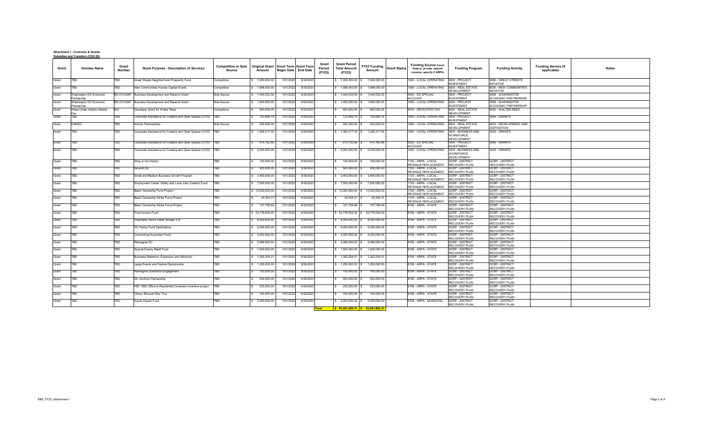**Attachment I - Contracts & Grants**

|                         | <b>Funding Service (if</b><br>applicable) | <b>Notes</b> |
|-------------------------|-------------------------------------------|--------------|
|                         |                                           |              |
| $\overline{\mathsf{S}}$ |                                           |              |
| ΙP                      |                                           |              |
| $\mathsf{IP}$           |                                           |              |
|                         |                                           |              |
|                         |                                           |              |
| $\overline{5}$          |                                           |              |
|                         |                                           |              |
|                         |                                           |              |
|                         |                                           |              |
|                         |                                           |              |
|                         |                                           |              |
|                         |                                           |              |
|                         |                                           |              |
|                         |                                           |              |
|                         |                                           |              |
|                         |                                           |              |
|                         |                                           |              |
|                         |                                           |              |
|                         |                                           |              |
|                         |                                           |              |
|                         |                                           |              |
|                         |                                           |              |
|                         |                                           |              |
|                         |                                           |              |
|                         |                                           |              |
|                         |                                           |              |
|                         |                                           |              |
|                         |                                           |              |
|                         |                                           |              |

|              | <b>Subsidies and Transfers (CSG 50)</b> |                               |                                                            |                                             |                                        |                                                       |                                         |                                                                                                    |                                                                                         |                                                                              |                                                  |                                           |
|--------------|-----------------------------------------|-------------------------------|------------------------------------------------------------|---------------------------------------------|----------------------------------------|-------------------------------------------------------|-----------------------------------------|----------------------------------------------------------------------------------------------------|-----------------------------------------------------------------------------------------|------------------------------------------------------------------------------|--------------------------------------------------|-------------------------------------------|
| <b>Grant</b> | <b>Grantee Name</b>                     | <b>Grant</b><br><b>Number</b> | <b>Grant Purpose - Description of Services</b>             | <b>Competitive or Sole</b><br><b>Source</b> | <b>Original Grant</b><br><b>Amount</b> | <b>Grant Term Grant Term</b><br>Begin Date   End Date | <b>Grant</b><br><b>Period</b><br>(FY23) | <b>Grant Period</b><br>FY23 Funding Grant Status<br><b>Total Amount</b><br><b>Amount</b><br>(FY23) | <b>Funding Source (local,</b><br>federal, private, special<br>revenue, specify if ARPA) | <b>Funding Program</b>                                                       | <b>Funding Activity</b>                          | <b>Funding Service (if</b><br>applicable) |
| Grant        | <b>TBD</b>                              | TBD                           | Great Streets Neighborhood Prosperity Fund                 | Competitive                                 | 7,000,000.00                           | 10/1/2022<br>9/30/2023                                |                                         | $\frac{1}{5}$ 7,000,000.00<br>7,000,000.00                                                         | 1000 - LOCAL OPERATING                                                                  | 5000 - PROJECT                                                               | 5080 - GREAT STREETS                             |                                           |
| Grant        | <b>TBD</b>                              | <b>TBD</b>                    | New Communities Human Capital Grants                       | Competitive                                 | 1,998,000.00                           | 10/1/2022<br>9/30/2023                                |                                         | 1,998,000.00<br>\$ 1,998,000.00                                                                    | 1000 - LOCAL OPERATING                                                                  | <b>INVESTMENT</b><br>6000 - REAL ESTATE                                      | <b>INITIATIVE</b><br>6030 - NEW COMMUNITIES      |                                           |
| Grant        | Washington DC Economic                  | BD-015-6987                   | Business Development and Resarch Grant                     | Sole Source                                 | 1,440,532.00                           | 9/30/2023<br>10/1/2022                                |                                         | 1,440,532.00<br>1,440,532.00                                                                       | 0632 - ED SPECIAL                                                                       | DEVELOPMENT<br>5000 - PROJECT                                                | <b>INITIATIVE</b><br>5095 - WASHINGTON           |                                           |
|              | Partnership                             |                               |                                                            |                                             |                                        |                                                       |                                         |                                                                                                    | <b>ACCOUNT</b>                                                                          | <b>INVESTMENT</b>                                                            | <b>ECONOMIC PARTNERSHIP</b>                      |                                           |
| Grant        | Washington DC Economic<br>Partnership   | BD-015-6987                   | Business Development and Resarch Grant                     | Sole Source                                 | 1,400,000.00                           | 10/1/2022<br>9/30/2023                                |                                         | 1,400,000.00<br>1,400,000.00                                                                       | 1000 - LOCAL OPERATING                                                                  | 5000 - PROJECT<br><b>INVESTMENT</b>                                          | 5095 - WASHINGTON<br><b>ECONOMIC PARTNERSHIP</b> |                                           |
| Grant        | Hines-Urban Atlantic Master             | N/A                           | Developer Grant for Walter Reed                            | Competitive                                 | 900,000.00                             | 10/1/2022<br>9/30/2023                                |                                         | 900,000.00<br>900,000.00                                                                           | 6616 - DEDICATED TAX                                                                    | 6000 - REAL ESTATE<br><b>DEVELOPMENT</b>                                     | 6050 - WALTER REED                               |                                           |
| Grant        | TBD                                     | TBD                           | Corporate Assistance for Creative and Open Spaces (COS)    | TBD                                         | 123,669.14                             | 9/30/2023<br>10/1/2022                                |                                         | 123,669.14<br>123,669.14                                                                           | 1000 - LOCAL OPERATING                                                                  | 5000 - PROJECT<br><b>INVESTMENT</b>                                          | 5085 - GRANTS                                    |                                           |
| Grant        | <b>CNHED</b>                            | <b>TBD</b>                    | <b>Anchor Partnerships</b>                                 | Sole Source                                 | 200,000.00                             | 10/1/2022<br>9/30/2023                                |                                         | 200,000.00<br>200,000.00                                                                           | 1000 - LOCAL OPERATING                                                                  | 6000 - REAL ESTATE                                                           | 6020 - DEVELOPMENT AND                           |                                           |
| Grant        | <b>TBD</b>                              | <b>TBD</b>                    | Corporate Assistance for Creative and Open Spaces (COS)    | <b>TBD</b>                                  | 1,392,217.00                           | 10/1/2022<br>9/30/2023                                |                                         | 1,392,217.00<br>1,392,217.00                                                                       | 1000 - LOCAL OPERATING                                                                  | <b>DEVELOPMENT</b><br>3000 - BUSINESS AND<br><b>WORKFORCE</b><br>DEVELOPMENT | <b>DISPOSITION</b><br>3020 - GRANTS              |                                           |
| Grant        | <b>TBD</b>                              | <b>TBD</b>                    | Corporate Assistance for Creative and Open Spaces (COS)    | <b>TBD</b>                                  | 475,182.86                             | 10/1/2022<br>9/30/2023                                |                                         | 475,182.86 \$<br>475,182.86                                                                        | 0632 - ED SPECIAL<br><b>ACCOUNT</b>                                                     | 5000 - PROJECT<br><b>INVESTMENT</b>                                          | 5085 - GRANTS                                    |                                           |
| Grant        | <b>TBD</b>                              | TBD                           | Corporate Assistance for Creative and Open Spaces (COS)    | <b>TBD</b>                                  | 5,000,000.00                           | 10/1/2022<br>9/30/2023                                |                                         | 5,000,000.00<br>$\frac{1}{5}$ 5,000,000.00                                                         | 1000 - LOCAL OPERATING                                                                  | 3000 - BUSINESS AND<br><b>WORKFORCE</b><br><b>DEVELOPMENT</b>                | 3020 - GRANTS                                    |                                           |
| Grant        | <b>TBD</b>                              | <b>TBD</b>                    | Shop in the District                                       | TBD                                         | 100,000.00                             | 9/30/2023<br>10/1/2022                                |                                         | 100,000.00<br>100,000.00                                                                           | 1135 - ARPA - LOCAL                                                                     | <b>DCRP - DISTRICT</b>                                                       | <b>DCRP - DISTRICT</b>                           |                                           |
| Grant        | <b>TBD</b>                              | <b>TBD</b>                    | Nourish DC                                                 | TBD                                         | 500,000.00                             | 10/1/2022<br>9/30/2023                                |                                         | 500,000.00<br>500,000.00                                                                           | <b>REVENUE REPLACEMENT</b><br>1135 - ARPA - LOCAL                                       | <b>RECOVERY PLAN</b><br><b>DCRP - DISTRICT</b>                               | <b>RECOVERY PLAN</b><br><b>DCRP - DISTRICT</b>   |                                           |
| Grant        | <b>TBD</b>                              | <b>TBD</b>                    | Small and Medium Business Growth Program                   | TBD                                         | 3,400,000.00                           | 10/1/2022<br>9/30/2023                                |                                         | \$3,400,000.00<br>3,400,000.00                                                                     | <b>REVENUE REPLACEMENT</b><br>1135 - ARPA - LOCAL                                       | <b>RECOVERY PLAN</b><br><b>DCRP - DISTRICT</b>                               | <b>RECOVERY PLAN</b><br><b>DCRP - DISTRICT</b>   |                                           |
|              |                                         |                               |                                                            |                                             |                                        |                                                       |                                         |                                                                                                    | REVENUE REPLACEMENT                                                                     | <b>RECOVERY PLAN</b>                                                         | <b>RECOVERY PLAN</b>                             |                                           |
| Grant        | <b>TBD</b>                              | TBD.                          | Employment Center Vitality and Local Jobs Creation Fund    | TBD                                         | 7,500,000.00                           | 10/1/2022<br>9/30/2023                                |                                         | \$7,500,000.00<br>7,500,000.00                                                                     | 1135 - ARPA - LOCAL<br>REVENUE REPLACEMENT                                              | <b>DCRP - DISTRICT</b><br><b>RECOVERY PLAN</b>                               | <b>DCRP - DISTRICT</b><br><b>RECOVERY PLAN</b>   |                                           |
| Grant        | <b>TBD</b>                              | <b>TBD</b>                    | <b>Black Ownership Fund Project</b>                        | TBD                                         | \$10,000,000.00                        | 9/30/2023<br>10/1/2022                                |                                         | 10,000,000.00<br>$$10,000,000.00$ \ \$                                                             | 1135 - ARPA - LOCAL<br><b>REVENUE REPLACEMENT</b>                                       | <b>IDCRP - DISTRICT</b><br><b>RECOVERY PLAN</b>                              | <b>DCRP - DISTRICT</b><br><b>RECOVERY PLAN</b>   |                                           |
| Grant        | <b>TBD</b>                              | <b>TBD</b>                    | <b>Black Ownership Strike Force Project</b>                | TBD                                         | 42,204.31                              | 10/1/2022<br>9/30/2023                                |                                         | $42,204.31$ \$<br>42,204.31                                                                        | 1135 - ARPA - LOCAL<br><b>REVENUE REPLACEMENT</b>                                       | <b>DCRP - DISTRICT</b><br><b>RECOVERY PLAN</b>                               | <b>DCRP - DISTRICT</b><br><b>RECOVERY PLAN</b>   |                                           |
| Grant        | <b>TBD</b>                              | <b>TBD</b>                    | <b>Black Ownership Strike Force Project</b>                | TBD                                         | 107,795.69                             | 9/30/2023<br>10/1/2022                                |                                         | 107,795.69<br>107,795.69                                                                           | 8156 - ARPA - STATE                                                                     | <b>DCRP - DISTRICT</b>                                                       | <b>DCRP - DISTRICT</b>                           |                                           |
| Grant        | <b>TBD</b>                              | <b>TBD</b>                    | Food Access Fund                                           | TBD                                         | \$23,778,000.00                        | 10/1/2022<br>9/30/2023                                |                                         | 23,778,000.00<br>\$23,778,000.00                                                                   | 8156 - ARPA - STATE                                                                     | <b>RECOVERY PLAN</b><br><b>DCRP - DISTRICT</b>                               | <b>RECOVERY PLAN</b><br><b>DCRP - DISTRICT</b>   |                                           |
|              |                                         |                               |                                                            |                                             |                                        |                                                       |                                         |                                                                                                    |                                                                                         | <b>RECOVERY PLAN</b>                                                         | <b>RECOVERY PLAN</b>                             |                                           |
| Grant        | <b>TBD</b>                              | TBD.                          | Hospitality Sector Relief (Bridge 3.0)                     | TBD                                         | 8,000,000.00                           | 10/1/2022<br>9/30/2023                                |                                         | 8,000,000.00<br>$\frac{1}{5}$ 8,000,000.00 \$                                                      | 8156 - ARPA - STATE                                                                     | <b>DCRP - DISTRICT</b><br><b>RECOVERY PLAN</b>                               | <b>DCRP - DISTRICT</b><br><b>RECOVERY PLAN</b>   |                                           |
| Grant        | <b>TBD</b>                              | <b>TBD</b>                    | <b>DC Family Fund Destinations</b>                         | TBD                                         | 5,000,000.00                           | 9/30/2023<br>10/1/2022                                |                                         | 5,000,000.00<br>\$5,000,000.00                                                                     | 8156 - ARPA - STATE                                                                     | <b>DCRP - DISTRICT</b><br><b>RECOVERY PLAN</b>                               | <b>DCRP - DISTRICT</b><br><b>RECOVERY PLAN</b>   |                                           |
| Grant        | <b>TBD</b>                              | <b>TBD</b>                    | <b>Commerical Acquisiton Fund</b>                          | TBD                                         | 4,000,000.00                           | 10/1/2022<br>9/30/2023                                |                                         | 4,000,000.00<br>\$4,000,000.00]                                                                    | 8156 - ARPA - STATE                                                                     | <b>DCRP - DISTRICT</b><br><b>RECOVERY PLAN</b>                               | <b>DCRP - DISTRICT</b><br><b>RECOVERY PLAN</b>   |                                           |
| Grant        | <b>TBD</b>                              | <b>TBD</b>                    | Reimagine DC                                               | TBD                                         | 2,069,000.00                           | 10/1/202<br>9/30/2023                                 |                                         | 2,069,000.00<br>\$2,069,000.00]                                                                    | 8156 - ARPA - STATE                                                                     | <b>DCRP - DISTRICT</b>                                                       | <b>DCRP - DISTRICT</b>                           |                                           |
| Grant        | <b>TBD</b>                              | <b>TBD</b>                    | <b>Special Events Relief Fund</b>                          | TBD                                         | 1,500,000.00                           | 9/30/2023<br>10/1/2022                                |                                         | 1,500,000.00<br>\$1,500,000.00                                                                     | 8156 - ARPA - STATE                                                                     | <b>RECOVERY PLAN</b><br><b>DCRP - DISTRICT</b>                               | <b>RECOVERY PLAN</b><br><b>DCRP - DISTRICT</b>   |                                           |
| Grant        | <b>TBD</b>                              | TBD.                          | Business Retention, Expansion and Attraction               | TBD                                         | 1,292,204.31                           | 10/1/2022<br>9/30/2023                                |                                         | 1,292,204.31<br>$\frac{1}{5}$ 1,292,204.31 $\frac{1}{5}$                                           | 8156 - ARPA - STATE                                                                     | <b>RECOVERY PLAN</b><br><b>DCRP - DISTRICT</b>                               | <b>RECOVERY PLAN</b><br><b>DCRP - DISTRICT</b>   |                                           |
|              |                                         |                               |                                                            |                                             |                                        |                                                       |                                         |                                                                                                    |                                                                                         | <b>RECOVERY PLAN</b>                                                         | <b>RECOVERY PLAN</b>                             |                                           |
| Grant        | <b>TBD</b>                              | TBD                           | Large Events and Festival Sponsorship                      | TBD                                         | 1,250,000.00                           | 9/30/2023<br>10/1/2022                                |                                         | \$1,250,000.00<br>1,250,000.00                                                                     | 8156 - ARPA - STATE                                                                     | <b>DCRP - DISTRICT</b><br><b>RECOVERY PLAN</b>                               | <b>DCRP - DISTRICT</b><br><b>RECOVERY PLAN</b>   |                                           |
| Grant        | <b>TBD</b>                              | <b>TBD</b>                    | Reimagine Downtwon Engagement                              | TBD                                         | 750,000.00                             | 9/30/2023<br>10/1/2022                                |                                         | 750,000.00<br>750,000.00                                                                           | 8156 - ARPA - STATE                                                                     | <b>DCRP - DISTRICT</b><br><b>RECOVERY PLAN</b>                               | <b>DCRP - DISTRICT</b><br><b>RECOVERY PLAN</b>   |                                           |
| Grant        | <b>TBD</b>                              | <b>TBD</b>                    | DC Anchors Partnership                                     | TBD                                         | 500,000.00                             | 9/30/2023<br>10/1/2022                                |                                         | 500,000.00<br>500,000.00                                                                           | 8156 - ARPA - STATE                                                                     | <b>DCRP - DISTRICT</b>                                                       | <b>DCRP - DISTRICT</b>                           |                                           |
| Grant        | <b>TBD</b>                              | <b>TBD</b>                    | HID: CBD Office to Residential Conersion Incentive project | TBD                                         | 233,000.00                             | 10/1/2022<br>9/30/2023                                |                                         | 233,000.00<br>233,000.00                                                                           | 8156 - ARPA - STATE                                                                     | <b>RECOVERY PLAN</b><br><b>DCRP - DISTRICT</b>                               | <b>RECOVERY PLAN</b><br><b>DCRP - DISTRICT</b>   |                                           |
| Grant        | <b>TBD</b>                              | <b>TBD</b>                    | Cherry Blossom Bus Tour                                    | TBD                                         | 100,000.00                             | 10/1/2022<br>9/30/2023                                |                                         | 100,000.00<br>100,000.00                                                                           | 8156 - ARPA - STATE                                                                     | <b>RECOVERY PLAN</b><br><b>DCRP - DISTRICT</b>                               | <b>RECOVERY PLAN</b><br><b>DCRP - DISTRICT</b>   |                                           |
|              |                                         |                               |                                                            |                                             |                                        |                                                       |                                         |                                                                                                    |                                                                                         | <b>RECOVERY PLAN</b>                                                         | <b>RECOVERY PLAN</b>                             |                                           |
| Grant        | <b>TBD</b>                              | <b>TBD</b>                    | <b>Equity Impact Fund</b>                                  | TBD                                         | 2,000,000.00                           | 10/1/2022<br>9/30/2023                                |                                         | 2,000,000.00<br>2,000,000.00                                                                       | 8158 - ARPA - MUNICIPAL                                                                 | <b>DCRP - DISTRICT</b><br><b>RECOVERY PLAN</b>                               | <b>DCRP - DISTRICT</b><br><b>RECOVERY PLAN</b>   |                                           |
|              |                                         |                               |                                                            |                                             |                                        |                                                       | <b>Total</b>                            | $\frac{1}{5}$ 92,051,805.31 \$ 92,051,805.31                                                       |                                                                                         |                                                                              |                                                  |                                           |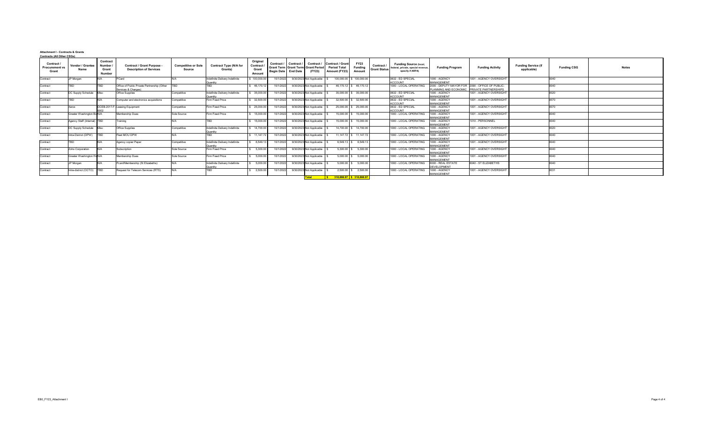# **Attachment I - Contracts & Grants Contracts (All Other CSGs)**

| $\sim$ nuacto (All Other oooo)                      |                                        |                                                     |                                                                     |                                             |                                            |                                                  |                                     |            |                                                                       |                                                                        |                                                |                                        |                                                                                        |                                                                           |                             |                                           |                    |              |
|-----------------------------------------------------|----------------------------------------|-----------------------------------------------------|---------------------------------------------------------------------|---------------------------------------------|--------------------------------------------|--------------------------------------------------|-------------------------------------|------------|-----------------------------------------------------------------------|------------------------------------------------------------------------|------------------------------------------------|----------------------------------------|----------------------------------------------------------------------------------------|---------------------------------------------------------------------------|-----------------------------|-------------------------------------------|--------------------|--------------|
| Contract /<br><b>Procurement vs</b><br><b>Grant</b> | <b>Vendor / Grantee</b><br><b>Name</b> | <b>Contract</b><br>Number<br>Grant<br><b>Number</b> | <b>Contract / Grant Purpose -</b><br><b>Description of Services</b> | <b>Competitive or Sole</b><br><b>Source</b> | <b>Contract Type (N/A for</b><br>Grants)   | Original<br>Contract /<br>Grant<br><b>Amount</b> | Contract /<br>Begin Date   End Date | Contract / | Contract /<br><b>Grant Term   Grant Term   Grant Period</b><br>(FY23) | <b>Contract / Grant</b><br><b>Period Total</b><br><b>Amount (FY23)</b> | <b>FY23</b><br><b>Funding</b><br><b>Amount</b> | <b>Contract</b><br><b>Grant Status</b> | <b>Funding Source (local,</b><br>federal, private, special revenue<br>specify if ARPA) | <b>Funding Program</b>                                                    | <b>Funding Activity</b>     | <b>Funding Service (if</b><br>applicable) | <b>Funding CSG</b> | <b>Notes</b> |
| Contract                                            | JP Morgan                              | N/A                                                 | PCard                                                               |                                             | Indefinite Delivery Indefinite<br>Quantity | \$100,000.00                                     | 10/1/2022                           |            | 9/30/2023 Not Applicable                                              | 100,000.00                                                             | \$100,000.00                                   |                                        | 0632 - ED SPECIAL<br>ACCOUNT                                                           | 1000 - AGENCY<br>MANAGEMENT                                               | 1001 - AGENCY OVERSIGHT     | 0040                                      |                    |              |
| Contract                                            | TRD                                    | <b>TRD</b>                                          | Office of Public Private Partnership (Other<br>Services & Charges)  |                                             |                                            | 46,170.12                                        | 10/1/2022                           |            | 9/30/2023 Not Applicable                                              |                                                                        | $46,170.12$ \$ $46,170.12$                     |                                        | 1000 - LOCAL OPERATING                                                                 | 2000 - DEPUTY MAYOR FOR 2090 - OFFICE OF PUBLIC-<br>PLANNING AND ECONOMIC | <b>PRIVATE PARTNERSHIPS</b> | በበ4በ                                      |                    |              |
| Contract                                            | DC Supply Schedule Misc                |                                                     | <b>Office Supplies</b>                                              | Competitive                                 | Indefinite Delivery Indefinite<br>Quantity | \$35,000.00                                      | 10/1/2022                           |            | 9/30/2023 Not Applicable                                              |                                                                        | $35,000.00$   \$ 35,000.00                     |                                        | 0632 - ED SPECIAL<br><b>ACCOUNT</b>                                                    | 1000 - AGENCY<br>MANAGEMENT                                               | 1001 - AGENCY OVERSIGHT     | 0020                                      |                    |              |
| Contract                                            |                                        |                                                     | Computer and electronics acquisitions                               | Competitive                                 | <b>Firm Fixed Price</b>                    | 32,500.00                                        | 10/1/2022                           |            | 9/30/2023 Not Applicable                                              |                                                                        | $32,500.00$ \ \$ 32,500.00                     |                                        | 0632 - ED SPECIAL<br><b>ACCOUNT</b>                                                    | 1000 - AGENCY<br><b>MANAGEMENT</b>                                        | 1001 - AGENCY OVERSIGHT     | ∩∩7∩                                      |                    |              |
| Contract                                            | <b>Xerox</b>                           |                                                     | DCEB-2017-F-Leasing Equipment                                       | Competitive                                 | Firm Fixed Price                           | \$25,000.00                                      | 10/1/2022                           |            | 9/30/2023 Not Applicable                                              |                                                                        | $25,000.00$ \$ 25,000.00                       |                                        | 0632 - ED SPECIAL<br>ACCOUNT                                                           | 1000 - AGENCY<br>MANAGEMENT                                               | 1001 - AGENCY OVERSIGHT     | 0070                                      |                    |              |
| Contract                                            | Greater Washington Bo N/A              |                                                     | Membership Dues                                                     | Sole Source                                 | Firm Fixed Price                           | 15,000.00                                        | 10/1/2022                           |            | 9/30/2023 Not Applicable                                              | 15,000.00                                                              | 15,000.00                                      |                                        | 1000 - LOCAL OPERATING                                                                 | 1000 - AGENCY<br><b>MANAGEMENT</b>                                        | 1001 - AGENCY OVERSIGHT     | 0040                                      |                    |              |
| Contract                                            | Agency Staff (Internal)   TBD          |                                                     | Training                                                            |                                             |                                            | \$ 15,000.00                                     | 10/1/2022                           |            | 9/30/2023 Not Applicable                                              | 15,000.00                                                              | \$ 15,000.00                                   |                                        | 1000 - LOCAL OPERATING                                                                 | 1000 - AGENCY<br>MANAGEMENT                                               | 1010 - PERSONNEL            | 0040                                      |                    |              |
| Contract                                            | DC Supply Schedule Misc                |                                                     | <b>Office Supplies</b>                                              | Competitive                                 | Indefinite Delivery Indefinite<br>Quantity | 14,700.00                                        | 10/1/2022                           |            | 9/30/2023 Not Applicable                                              |                                                                        | $14,700.00$ $\frac{1}{9}$ 14,700.00            |                                        | 1000 - LOCAL OPERATING                                                                 | 1000 - AGENCY<br><b>MANAGEMENT</b>                                        | 1001 - AGENCY OVERSIGHT     | 0020                                      |                    |              |
| Contract                                            | Intra-District (DPW)                   | <b>TBD</b>                                          | Fleet MOU DPW                                                       |                                             | TBD                                        | \$11,147.72                                      | 10/1/2022                           |            | 9/30/2023 Not Applicable                                              |                                                                        | $11,147.72$ \$ 11,147.72                       |                                        | 1000 - LOCAL OPERATING                                                                 | 1000 - AGENCY<br><b>MANAGEMENT</b>                                        | 1001 - AGENCY OVERSIGHT     | 0040                                      |                    |              |
| Contract                                            |                                        |                                                     | Agency copier Paper                                                 | Competitive                                 | Indefinite Delivery Indefinite<br>Quantity | 6,549.1                                          | 10/1/2022                           |            | 9/30/2023 Not Applicable                                              | 6,549.13                                                               | \$6,549.13                                     |                                        | 1000 - LOCAL OPERATING                                                                 | 1000 - AGENCY<br><b>MANAGEMENT</b>                                        | 1001 - AGENCY OVERSIGHT     | 0040                                      |                    |              |
| Contract                                            | Zoho Corporation                       | N/A                                                 | Subscription                                                        | Sole Source                                 | <b>Firm Fixed Price</b>                    | 5,300.00                                         | 10/1/2022                           |            | 9/30/2023 Not Applicable                                              | $5,300.00$ \$                                                          | 5,300.00                                       |                                        | 1000 - LOCAL OPERATING                                                                 | 1000 - AGENCY<br><b>MANAGEMENT</b>                                        | 1001 - AGENCY OVERSIGHT     | 0040                                      |                    |              |
| Contract                                            | Greater Washington His N/A             |                                                     | <b>Membership Dues</b>                                              | Sole Source                                 | Firm Fixed Price                           | 5,000.00                                         | 10/1/2022                           |            | 9/30/2023 Not Applicable                                              |                                                                        | $5,000.00$ \$ $5,000.00$                       |                                        | 1000 - LOCAL OPERATING                                                                 | 1000 - AGENCY<br><b>MANAGEMENT</b>                                        | 1001 - AGENCY OVERSIGHT     | 0040                                      |                    |              |
| Contract                                            | JP Morgan                              | IN/A                                                | Pcard/Membership (St Elizabeths)                                    | N/A                                         | Indefinite Delivery Indefinite<br>Quantity | 5,000.00                                         | 10/1/2022                           |            | 9/30/2023 Not Applicable                                              |                                                                        | $5,000.00$   \$ $5,000.00$                     |                                        | 1000 - LOCAL OPERATING                                                                 | 6000 - REAL ESTATE<br>DEVELOPMENT                                         | 6040 - ST ELIZABETHS        | 0040                                      |                    |              |
| Contract                                            | Intra-district (OCTO)   TBD            |                                                     | Request for Telecom Services (RTS)                                  |                                             |                                            | 2,500.00                                         | 10/1/2022                           |            | 9/30/2023 Not Applicable                                              | 2,500.00                                                               | \$ 2,500.00                                    |                                        | 1000 - LOCAL OPERATING                                                                 | 1000 - AGENCY<br>MANAGEMENT                                               | 1001 - AGENCY OVERSIGHT     | 0031                                      |                    |              |
|                                                     |                                        |                                                     |                                                                     |                                             |                                            |                                                  |                                     |            | <b>Total</b>                                                          | <u>  \$         318,866.97   \$   318,866.9</u>                        |                                                |                                        |                                                                                        |                                                                           |                             |                                           |                    |              |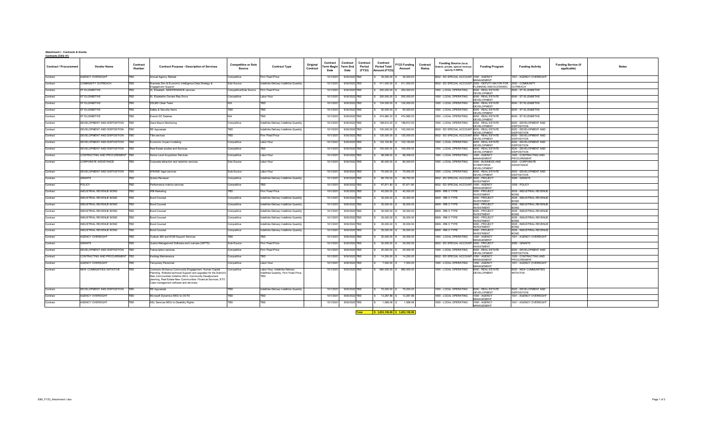#### **Attachment I - Contracts & Grants Contracts (CSG 41)**

| <b>Contract / Procurement</b> | <b>Vendor Name</b>             | Contract<br>Number | <b>Contract Purpose - Description of Services</b>                                                                                                                                                                                          | <b>Competitive or Sole</b><br>Source | <b>Contract Type</b>                    | Original<br>Contract | Contract<br><b>Term Begin</b><br>Date | Contract<br>Term End<br>Date | Contract<br>Period<br>(FY23) | Contract<br><b>Period Total</b><br>Amount (FY23 | FY23 Funding<br>Amount | Contract<br><b>Status</b> | <b>Funding Source (local,</b><br>federal, private, special revenue<br>specify if ARPA) | <b>Funding Program</b>                                           | <b>Funding Activity</b>                       | <b>Funding Service (if</b><br>applicable) | <b>Notes</b> |
|-------------------------------|--------------------------------|--------------------|--------------------------------------------------------------------------------------------------------------------------------------------------------------------------------------------------------------------------------------------|--------------------------------------|-----------------------------------------|----------------------|---------------------------------------|------------------------------|------------------------------|-------------------------------------------------|------------------------|---------------------------|----------------------------------------------------------------------------------------|------------------------------------------------------------------|-----------------------------------------------|-------------------------------------------|--------------|
| Contract                      | <b>AGENCY OVERSIGHT</b>        | TBD                | Annual Agency Retreat                                                                                                                                                                                                                      | Competitive                          | Firm Fixed Price                        |                      | 10/1/2021                             | 9/30/2022 TBD                |                              | 35,000.00                                       | 35,000.00              |                           | 0632 - ED SPECIAL ACCOUNT 1000 - AGENCY                                                | <b>MANAGEMENT</b>                                                | 1001 - AGENCY OVERSIGHT                       |                                           |              |
| Contract                      | COMMUNITY OUTREACH             | TBD                | Business Dev & Economic Intelligence Data Strategy &<br>Ingagement Support                                                                                                                                                                 | Sole Source                          | Indefinite Delivery Indefinite Quantity |                      | 10/1/2021                             | 9/30/2022 TBD                |                              | \$411,000.00                                    | 411,000.00             |                           | 0632 - ED SPECIAL ACCOUNT                                                              | 2000 - DEPUTY MAYOR FOR 2020 - COMMUNITY<br>LANNING AND ECONOMIC | OUTREACH                                      |                                           |              |
| Contract                      | <b>ST ELIZABETHS</b>           | TBD                | St. Elizabeth MAINTENANCE services                                                                                                                                                                                                         | Competitive/Sole Source              | Firm Fixed Price                        |                      | 10/1/2021                             | 9/30/2022 TBD                |                              | 200,000.00                                      | 200,000.00             |                           | 1000 - LOCAL OPERATING                                                                 | 6000 - REAL ESTATE<br><b>EVELOPMENT</b>                          | 040 - ST ELIZABETHS                           |                                           |              |
| Contract                      | <b>ST ELIZABETHS</b>           | TBD                | St. Elizabeths Owners Rep Srvcs                                                                                                                                                                                                            | Competitive                          | Labor Hour                              |                      | 10/1/2021                             | 9/30/2022 TBD                |                              | 200,000.00                                      | 200,000.0              |                           | 000 - LOCAL OPERATING                                                                  | 6000 - REAL ESTATE<br><b>DEVELOPMENT</b>                         | 040 - ST ELIZABETHS                           |                                           |              |
| Contract                      | ST ELIZABETHS                  | TBD                | <b>DSLBD Clean Team</b>                                                                                                                                                                                                                    | N/A                                  | <b>TBD</b>                              |                      | 10/1/2021                             | 9/30/2022 TBD                |                              | 124,000.00                                      | 124,000.00             |                           | 1000 - LOCAL OPERATING                                                                 | 6000 - REAL ESTATE<br><b>DEVELOPMENT</b>                         | 6040 - ST ELIZABETHS                          |                                           |              |
| Contract                      | ST ELIZABETHS                  | TBD                | Safety & Security Items                                                                                                                                                                                                                    | <b>TBD</b>                           | <b>TBD</b>                              |                      | 10/1/2021                             | 9/30/2022 TBD                |                              | 50,000.00                                       | 50,000.00              |                           | 1000 - LOCAL OPERATING                                                                 | 6000 - REAL ESTATE<br>DEVELOPMENT                                | 6040 - ST ELIZABETHS                          |                                           |              |
| Contract                      | ST ELIZABETHS                  | TBD                | Events DC Salaries                                                                                                                                                                                                                         | N/A                                  | <b>TRD</b>                              |                      | 10/1/2021                             | 9/30/2022 TBD                |                              | \$474,980.33                                    | 474.980.33             |                           | 1000 - LOCAL OPERATING                                                                 | 6000 - REAL ESTATE<br><b>DEVELOPMENT</b>                         | 6040 - ST ELIZABETHS                          |                                           |              |
| Contract                      | DEVELOPMENT AND DISPOSITION    | <b>BD</b>          | Davis Bacon Monitoring                                                                                                                                                                                                                     | Competitive                          | Indefinite Delivery Indefinite Quantity |                      | 10/1/2021                             | 9/30/2022 TBD                |                              | 198,812.00                                      | 198.812.00             |                           | 1000 - LOCAL OPERATING                                                                 | 6000 - REAL ESTATE<br><b>DEVELOPMENT</b>                         | 6020 - DEVELOPMENT AND<br><b>DISPOSITION</b>  |                                           |              |
| Contract                      | DEVELOPMENT AND DISPOSITION    | <b>TB</b>          | <b>RE</b> Appraisals                                                                                                                                                                                                                       | TBD                                  | Indefinite Delivery Indefinite Quantity |                      | 10/1/2021                             | 9/30/2022 TBD                |                              | 100,000.00                                      | 100,000.00             |                           | 0632 - ED SPECIAL ACCOUNT                                                              | 6000 - REAL ESTATE<br>DEVELOPMENT                                | 3020 - DEVELOPMENT AND<br><b>DISPOSITION</b>  |                                           |              |
| Contract                      | DEVELOPMENT AND DISPOSITION    |                    | Title services                                                                                                                                                                                                                             | TBD                                  | Firm Fixed Price                        |                      | 10/1/2021                             | 9/30/2022 TBD                |                              | 125,000.00                                      | 125,000.00             |                           | 0632 - ED SPECIAL ACCOUNT                                                              | 6000 - REAL ESTATE<br>DEVELOPMENT                                | 6020 - DEVELOPMENT AND<br><b>DISPOSITION</b>  |                                           |              |
| Contract                      | DEVELOPMENT AND DISPOSITION    |                    | Economic Impact modeling                                                                                                                                                                                                                   | Competitive                          | Labor Hour                              |                      | 10/1/2021                             | 9/30/2022 TBD                |                              | 122,150.80                                      | 122.150.80             |                           | 1000 - LOCAL OPERATING                                                                 | 6000 - REAL ESTAT<br><b>DEVELOPMENT</b>                          | 6020 - DEVELOPMENT AND<br><b>DISPOSITION</b>  |                                           |              |
| Contract                      | DEVELOPMENT AND DISPOSITION    |                    | Real Estate studies and Services                                                                                                                                                                                                           | Competitive                          | <b>TRD</b>                              |                      | 10/1/2021                             | 9/30/2022 TBD                |                              | 100,000.0                                       | 100,000.00             |                           | 1000 - LOCAL OPERATING                                                                 | 6000 - REAL ESTAT<br><b>DEVELOPMENT</b>                          | 6020 - DEVELOPMENT AND<br><b>DISPOSITION</b>  |                                           |              |
| Contract                      | CONTRACTING AND PROCUREMENT    | TRD                | Senior Level Acquisition Services                                                                                                                                                                                                          | Competitive                          | Labor Hour                              |                      | 10/1/2021                             | 9/30/2022 TBD                |                              | 98,008.0                                        | 98,008.00              |                           | 1000 - LOCAL OPERATING                                                                 | 1000 - AGENCY<br>MANAGEMENT                                      | 1020 - CONTRACTING AND<br><b>PROCUREMENT</b>  |                                           |              |
| Contract                      | CORPORATE ASSISTANCE           | TBD                | Corporate attraction and retention services                                                                                                                                                                                                | Sole Source                          | Labor Hour                              |                      | 10/1/2021                             | 9/30/2022 TBD                |                              | 80,000.00                                       | 80,000.00              |                           | 1000 - LOCAL OPERATING                                                                 | 3000 - BUSINESS AND<br><b>WORKFORCE</b>                          | 3020 - CORPORATE<br>ASSISTANCE                |                                           |              |
| Contract                      | DEVELOPMENT AND DISPOSITION    | TRD                | <b>WRAMC</b> legal services                                                                                                                                                                                                                | Sole Source                          | Labor Hour                              |                      | 10/1/2021                             | 9/30/2022 TBD                |                              | 75,000.00                                       | 75,000.00              |                           | 1000 - LOCAL OPERATING                                                                 | DEVELOPMENT<br>6000 - REAL ESTATE                                | 6020 - DEVELOPMENT AND                        |                                           |              |
| Contract                      | <b>GRANTS</b>                  | TBD                | <b>Grants Reviewer</b>                                                                                                                                                                                                                     | Competitive                          | Indefinite Delivery Indefinite Quantity |                      | 10/1/2021                             | 9/30/2022 TBD                |                              | 69,750.00                                       | 69,750.00              |                           | 0632 - ED SPECIAL ACCOUNT                                                              | DEVELOPMENT<br>5000 - PROJECT                                    | <b>DISPOSITION</b><br>5085 - GRANTS           |                                           |              |
| Contract                      | POLICY                         | TBD                | Performance metrics services                                                                                                                                                                                                               | Competitive                          | <b>TRD</b>                              |                      | 10/1/2021                             | 9/30/2022 TBD                |                              | 67,871.80                                       | 67,871.80              |                           | 0632 - ED SPECIAL ACCOUNT                                                              | NVESTMENT<br>1000 - AGENCY                                       | 1005 - POLICY                                 |                                           |              |
| Contract                      | INDUSTRIAL REVENUE BOND        | 'BD                | <b>IRB Marketing</b>                                                                                                                                                                                                                       |                                      | irm Fixed Price                         |                      | 10/1/2021                             | 9/30/2022 TBD                |                              | 40,000.00                                       | 40,000.0               |                           | 0609 - IRB O TYPE                                                                      | MANAGEMENT<br>5000 - PROJECT                                     | <b>035 - INDUSTRIAL REVENU</b>                |                                           |              |
| Contract                      | INDUSTRIAL REVENUE BOND        | TBD                | <b>Bond Counsel</b>                                                                                                                                                                                                                        | Competitive                          | Indefinite Delivery Indefinite Quantity |                      | 10/1/2021                             | 9/30/2022 TBD                |                              | 35,000.00                                       | 35,000.00              |                           | 0609 - IRB O TYPE                                                                      | <b>INVESTMENT</b><br>5000 - PROJECT                              | <b>BOND</b><br>5035 - INDUSTRIAL REVENUI      |                                           |              |
| Contract                      | INDUSTRIAL REVENUE BOND        | TBD                | <b>Bond Counsel</b>                                                                                                                                                                                                                        | Competitive                          | Indefinite Delivery Indefinite Quantity |                      | 10/1/2021                             | 9/30/2022 TBD                |                              | 35,000.00                                       | 35,000.00              |                           | 0609 - IRB O TYPE                                                                      | <b>INVESTMENT</b><br>5000 - PROJECT                              | <b>BOND</b><br>5035 - INDUSTRIAL REVENUE      |                                           |              |
| Contract                      | INDUSTRIAL REVENUE BOND        | TRD                | <b>Bond Counsel</b>                                                                                                                                                                                                                        | Competitive                          | Indefinite Delivery Indefinite Quantity |                      | 10/1/2021                             | 9/30/2022 TBD                |                              | 35,000.00                                       | 35,000.00              |                           | 0609 - IRB O TYPE                                                                      | <b>INVESTMENT</b><br>5000 - PROJECT                              | <b>BOND</b><br>5035 - INDUSTRIAL REVENUE      |                                           |              |
| Contract                      | INDUSTRIAL REVENUE BOND        | TBD                | <b>Bond Counsel</b>                                                                                                                                                                                                                        | Competitive                          | Indefinite Delivery Indefinite Quantity |                      | 10/1/2021                             | 9/30/2022 TBD                |                              | \$35,000.00                                     | 35,000.00              |                           | 0609 - IRB O TYPE                                                                      | <b>INVESTMENT</b><br>5000 - PROJECT                              | OND<br>5035 - INDUSTRIAL REVENU               |                                           |              |
| Contract                      | INDUSTRIAL REVENUE BOND        | TBD                | <b>Bond Counsel</b>                                                                                                                                                                                                                        | Competitive                          | Indefinite Delivery Indefinite Quantity |                      | 10/1/2021                             | 9/30/2022 TBD                |                              | 35,000.00                                       | 35,000.00              |                           | 0609 - IRB O TYPE                                                                      | <b>INVESTMENT</b><br>5000 - PROJECT                              | 5035 - INDUSTRIAL REVENU                      |                                           |              |
| Contract                      | <b>INDUSTRIAL REVENUE BOND</b> | TBD                | <b>Bond Counsel</b>                                                                                                                                                                                                                        | Competitive                          | Indefinite Delivery Indefinite Quantity |                      | 10/1/2021                             | 9/30/2022 TBD                |                              | 35,000.00                                       | 35,000.00              |                           | 0609 - IRB O TYPE                                                                      | <b>INVESTMENT</b><br>5000 - PROJEC                               | <b>OIACE</b><br>5035 - INDUSTRIAL REVENUE     |                                           |              |
| Contract                      | <b>AGENCY OVERSIGHT</b>        | TBD                | Outlook 365 and EOM Support Services                                                                                                                                                                                                       | <b>TBD</b>                           | TRD                                     |                      | 10/1/2021                             | 9/30/2022 TBD                |                              | 30,000.00                                       | 30,000.00              |                           | 1000 - LOCAL OPERATING                                                                 | <b>INVESTMENT</b><br>1000 - AGENCY                               | <b>OND</b><br>1001 - AGENCY OVERSIGHT         |                                           |              |
| Contract                      | <b>GRANTS</b>                  | TBD                | Grants Management Software and Licenses (GIFTS)                                                                                                                                                                                            | Sole Source                          | Firm Fixed Price                        |                      | 10/1/2021                             | 9/30/2022 TBD                |                              | 30,000.00                                       | 30,000.00              |                           | 0632 - ED SPECIAL ACCOUNT                                                              | <b>MANAGEMENT</b><br>5000 - PROJEC                               | 5085 - GRANTS                                 |                                           |              |
| Contract                      | DEVELOPMENT AND DISPOSITION    | <b>RD</b>          | ranscription services                                                                                                                                                                                                                      | Competitive                          | irm Fixed Price                         |                      | 10/1/2021                             | 9/30/2022 TBD                |                              | 20,000.0                                        | 20,000.00              |                           | 1000 - LOCAL OPERATING                                                                 | NVESTMENT<br>6000 - REAL ESTAT                                   | 3020 - DEVELOPMENT AND                        |                                           |              |
| Contract                      | CONTRACTING AND PROCUREMENT    | TBD                | Kwiktag Maintenance                                                                                                                                                                                                                        | Competitive                          | TRN                                     |                      | 10/1/2021                             | 9/30/2022 TBD                |                              | 14,250.00                                       | 14,250.00              |                           | 0632 - ED SPECIAL ACCOUNT                                                              | <b>DEVELOPMENT</b><br>1000 - AGENCY                              | DISPOSITION<br>020 - CONTRACTING AND          |                                           |              |
| Contract                      | <b>AGENCY OVERSIGHT</b>        | TBD                | Temporary Personnel                                                                                                                                                                                                                        | Competitive                          | Labor Hour                              |                      | 10/1/2021                             | 9/30/2022 TBD                |                              | 7,500.00                                        | 7,500.00               |                           | 1000 - LOCAL OPERATING                                                                 | MANAGEMENT<br>1000 - AGENCY                                      | <b>PROCUREMENT</b><br>1001 - AGENCY OVERSIGHT |                                           |              |
| Contract                      | NEW COMMUNITIES INITIATIVE     | TBD                | Contracts (Enhance Community Engagement, Human Capital                                                                                                                                                                                     | Competitive                          | Labor Hour, Indefinite Delivery         |                      | 10/1/2021                             | 9/30/2022 TBD                |                              | 680,000.00                                      | 680,000.00             |                           | 1000 - LOCAL OPERATING                                                                 | <b>MANAGEMENT</b><br>6000 - REAL ESTATE                          | 6030 - NEW COMMUNITIES                        |                                           |              |
|                               |                                |                    | Planning, Website technical Support and upgrades for the District's<br>New Communities Initiative (NCI), Community Develpoment<br>planning, Real Estate-New Communities- Finanical Services, ETO<br>Case management software and services) |                                      | Indefinite Quantity, Firm Fixed Price,  |                      |                                       |                              |                              |                                                 |                        |                           |                                                                                        | <b>DEVELOPMENT</b>                                               | <b>INITIATIVE</b>                             |                                           |              |
| Contract                      | DEVELOPMENT AND DISPOSITION    | TBD                | <b>RE</b> Appraisals                                                                                                                                                                                                                       | TBD                                  | Indefinite Delivery Indefinite Quantity |                      | 10/1/2021                             | 9/30/2022 TBD                |                              | 75,000.00                                       | 75,000.00              |                           | 1000 - LOCAL OPERATING                                                                 | 6000 - REAL ESTATE<br>EVELOPMENT                                 | 6020 - DEVELOPMENT AND<br><b>DISPOSITION</b>  |                                           |              |
| Contract                      | <b>AGENCY OVERSIGHT</b>        | TBD                | Microsoft Dynamics MOU to OCTO                                                                                                                                                                                                             | TBD                                  | TBD                                     |                      | 10/1/2021                             | 9/30/2022 TBD                |                              | 13,267.88                                       | 13,267.88              |                           | 1000 - LOCAL OPERATING                                                                 | 1000 - AGENCY<br><b>MANAGEMENT</b>                               | 1001 - AGENCY OVERSIGHT                       |                                           |              |
| Contract                      | <b>AGENCY OVERSIGHT</b>        | TBD                | ASL Services MOU to Disability Rights                                                                                                                                                                                                      | <b>TBD</b>                           | TBD                                     |                      | 10/1/2021                             | 9/30/2022 TBD                |                              | 1,568.08                                        | 1,568.08               |                           | 1000 - LOCAL OPERATING                                                                 | 1000 - AGENCY<br>MANAGEMENT                                      | 1001 - AGENCY OVERSIGHT                       |                                           |              |

**Total 3,653,158.89 \$ 3,653,158.89 \$**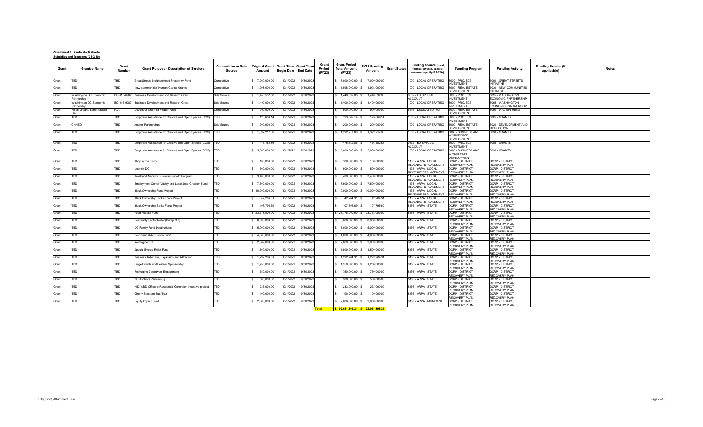#### **Attachment I - Contracts & Grants Subsidies and Transfers (CSG 50)**

| Grant | <b>Grantee Name</b>                   | Grant<br>Number | <b>Grant Purpose - Description of Services</b>                | <b>Competitive or Sole</b><br>Source | Original Grant   Grant Term   Grant Term<br>Amount | <b>Begin Date</b> End Date |           | Grant<br>Period<br>(FY23) | <b>Grant Period</b><br><b>Total Amount</b><br>(FY23) | FY23 Funding<br>Amount | <b>Grant Status</b> | <b>Funding Source (local,</b><br>federal, private, special<br>revenue, specify if ARPA) | <b>Funding Program</b>                                        | <b>Funding Activity</b>                          | <b>Funding Service (if</b><br>applicable) | <b>Notes</b> |
|-------|---------------------------------------|-----------------|---------------------------------------------------------------|--------------------------------------|----------------------------------------------------|----------------------------|-----------|---------------------------|------------------------------------------------------|------------------------|---------------------|-----------------------------------------------------------------------------------------|---------------------------------------------------------------|--------------------------------------------------|-------------------------------------------|--------------|
| Grant | <b>TBD</b>                            | TBD             | Great Streets Neighborhood Prosperity Fund                    | Competitive                          | \$7,000,000.00                                     | 10/1/2022                  | 9/30/2023 |                           | $$7,000,000.00$ $$7,000,000.00$                      |                        |                     | 1000 - LOCAL OPERATING                                                                  | 5000 - PROJECT<br>NVESTMENT                                   | 5080 - GREAT STREETS<br><b>INITIATIVE</b>        |                                           |              |
| Grant | TBD                                   | TBD             | New Communities Human Capital Grants                          | Competitive                          | \$1,998,000.00                                     | 10/1/2022                  | 9/30/2023 |                           | \$ 1.998,000.00                                      | 1.998.000.00           |                     | 1000 - LOCAL OPERATING                                                                  | 6000 - REAL ESTATE<br>DEVELOPMENT                             | 6030 - NEW COMMUNITIES<br><b>INITIATIVE</b>      |                                           |              |
| Grant | Washington DC Economic<br>Partnership | BD-015-6987     | Business Development and Resarch Grant                        | Sole Source                          | \$1,440,532.00                                     | 10/1/2022                  | 9/30/2023 |                           | $$1,440,532.00$ \$                                   | 1,440,532.00           |                     | 0632 - ED SPECIAL<br><b>ACCOUNT</b>                                                     | 5000 - PROJECT<br><b>INVESTMENT</b>                           | 5095 - WASHINGTON<br><b>ECONOMIC PARTNERSHIP</b> |                                           |              |
| Grant | Washington DC Economic<br>Partnership | BD-015-6987     | Business Development and Resarch Grant                        | Sole Source                          | \$1,400,000.00                                     | 10/1/2022                  | 9/30/2023 |                           | $$1,400,000.00$ $$$                                  | 1,400,000.00           |                     | 1000 - LOCAL OPERATING                                                                  | 5000 - PROJECT<br><b>INVESTMENT</b>                           | 5095 - WASHINGTON<br><b>ECONOMIC PARTNERSHIP</b> |                                           |              |
| Grant | Hines-Urban Atlantic Master           | N/A             | Developer Grant for Walter Reed                               | Competitive                          | 900,000.00                                         | 10/1/2022                  | 9/30/2023 |                           | 900,000.00                                           | 900.000.00             |                     | 6616 - DEDICATED TAX                                                                    | 6000 - REAL ESTATE<br>DEVELOPMENT                             | 6050 - WALTER REED                               |                                           |              |
| Grant | TBD                                   | TBD             | Corporate Assistance for Creative and Open Spaces (COS)       | <b>TBD</b>                           | 123,669.1                                          | 10/1/2022                  | 9/30/2023 | s.                        | 123,669.14                                           | 123,669.14             |                     | 1000 - LOCAL OPERATING                                                                  | 5000 - PROJECT<br>NVESTMENT                                   | 5085 - GRANTS                                    |                                           |              |
| Grant | CNHED                                 | TBD             | Anchor Partnerships                                           | Sole Source                          | 200,000.00                                         | 10/1/2022                  | 9/30/2023 |                           | 200,000.00                                           | 200,000.00             |                     | 1000 - LOCAL OPERATING                                                                  | 6000 - REAL ESTATE<br>DEVELOPMENT                             | 6020 - DEVELOPMENT AND<br><b>DISPOSITION</b>     |                                           |              |
| Grant | TBD                                   | <b>TBD</b>      | Corporate Assistance for Creative and Open Spaces (COS)   TBD |                                      | \$ 1,392,217.00                                    | 10/1/2022                  | 9/30/2023 |                           | \$ 1,392,217.00                                      | 1,392,217.00           |                     | 1000 - LOCAL OPERATING                                                                  | 3000 - BUSINESS AND<br><b>WORKFORCE</b><br><b>DEVELOPMENT</b> | 3020 - GRANTS                                    |                                           |              |
| Grant | TBD                                   | <b>FBD</b>      | Corporate Assistance for Creative and Open Spaces (COS)   TBD |                                      | 475,182.86                                         | 10/1/2022                  | 9/30/2023 |                           | 475,182.86                                           | 475,182.86             |                     | 0632 - ED SPECIAL<br><b>ACCOUNT</b>                                                     | 5000 - PROJECT<br><b>INVESTMENT</b>                           | 5085 - GRANTS                                    |                                           |              |
| Grant | TBD                                   | TBD             | Corporate Assistance for Creative and Open Spaces (COS)   TBD |                                      | \$5,000,000.00                                     | 10/1/2022                  | 9/30/2023 |                           | \$5,000,000.00                                       | 5,000,000.00           |                     | 1000 - LOCAL OPERATING                                                                  | 3000 - BUSINESS AND<br><b>WORKFORCE</b><br>DEVELOPMENT        | 3020 - GRANTS                                    |                                           |              |
| Grant | TBD                                   | TBD             | Shop in the District                                          | TBD                                  | 100,000.00<br>$\mathbf{s}$                         | 10/1/2022                  | 9/30/2023 | $\mathbf{s}$              | 100,000.00                                           | 100,000.00             |                     | 1135 - ARPA - LOCAL<br>REVENUE REPLACEMENT                                              | DCRP - DISTRICT<br><b>RECOVERY PLAN</b>                       | <b>DCRP - DISTRICT</b><br>RECOVERY PLAN          |                                           |              |
| Grant | TBD                                   | TBD             | Nourish DC                                                    | <b>TBD</b>                           | 500,000.00                                         | 10/1/2022                  | 9/30/2023 |                           | 500,000.00                                           | 500,000.00             |                     | 1135 - ARPA - LOCAL<br>REVENUE REPLACEMENT                                              | DCRP - DISTRICT<br><b>RECOVERY PLAN</b>                       | <b>DCRP - DISTRICT</b><br><b>RECOVERY PLAN</b>   |                                           |              |
| Grant | TBD                                   | TBD             | Small and Medium Business Growth Program                      | TBD                                  | \$3,400,000.00                                     | 10/1/2022                  | 9/30/2023 |                           | \$ 3,400,000.00                                      | 3.400.000.00           |                     | 1135 - ARPA - LOCAL<br>REVENUE REPLACEMENT                                              | <b>DCRP - DISTRICT</b><br><b>RECOVERY PLAN</b>                | <b>DCRP - DISTRICT</b><br><b>RECOVERY PLAN</b>   |                                           |              |
| Grant | TBD                                   | TBD             | Employment Center Vitality and Local Jobs Creation Fund       | TBD                                  | \$7,500,000.00                                     | 10/1/2022                  | 9/30/2023 |                           | \$7,500,000.00 \$7,500,000.00                        |                        |                     | 135 - ARPA - LOCAL<br><b>REVENUE REPLACEMENT</b>                                        | <b>DCRP - DISTRICT</b><br><b>RECOVERY PLAN</b>                | <b>DCRP - DISTRICT</b><br><b>RECOVERY PLAN</b>   |                                           |              |
| Grant | TBD                                   | TBD             | Black Ownership Fund Project                                  | TBD                                  | \$10,000,000.00                                    | 10/1/2022                  | 9/30/2023 |                           | \$10,000,000.00 \$10,000,000.00                      |                        |                     | 1135 - ARPA - LOCAL<br>REVENUE REPLACEMENT                                              | <b>DCRP - DISTRICT</b><br><b>RECOVERY PLAN</b>                | <b>DCRP - DISTRICT</b><br><b>RECOVERY PLAN</b>   |                                           |              |
| Grant | TBD                                   | TBD             | Black Ownership Strike Force Project                          | TBD                                  | 42,204.31                                          | 10/1/2022                  | 9/30/2023 | s.                        | 42,204.31                                            | 42,204.31              |                     | 1135 - ARPA - LOCAL<br>REVENUE REPLACEMENT                                              | DCRP - DISTRICT<br><b>RECOVERY PLAN</b>                       | <b>DCRP - DISTRICT</b><br>RECOVERY PLAN          |                                           |              |
| Grant | TBD                                   | TBD             | Black Ownership Strike Force Project                          | <b>TBD</b>                           | 107,795.69                                         | 10/1/2022                  | 9/30/2023 |                           | 107,795.69                                           | 107,795.69             |                     | 8156 - ARPA - STATE                                                                     | DCRP - DISTRICT<br>RECOVERY PLAN                              | <b>DCRP - DISTRICT</b><br>RECOVERY PLAN          |                                           |              |
| Grant | TBD                                   | TBD             | Food Access Fund                                              | <b>TBD</b>                           | \$23,778,000.00                                    | 10/1/2022                  | 9/30/2023 |                           | \$23,778,000.00                                      | 23,778,000.00          |                     | 8156 - ARPA - STATE                                                                     | DCRP - DISTRICT<br>RECOVERY PLAN                              | <b>DCRP - DISTRICT</b><br>RECOVERY PLAN          |                                           |              |
| Grant | TBD                                   | TBD             | Hospitality Sector Relief (Bridge 3.0)                        | TBD                                  | \$8,000,000.00                                     | 10/1/2022                  | 9/30/2023 |                           | \$ 8,000,000.00                                      | 8,000,000.00           |                     | 8156 - ARPA - STATE                                                                     | DCRP - DISTRICT<br>RECOVERY PLAN                              | <b>DCRP - DISTRICT</b><br><b>RECOVERY PLAN</b>   |                                           |              |
| Grant | TBD                                   | TBD             | DC Family Fund Destinations                                   | TBD                                  | \$ 5,000,000.00                                    | 10/1/2022                  | 9/30/2023 |                           | $$5,000,000.00$ $$5,000,000.00$                      |                        |                     | 8156 - ARPA - STATE                                                                     | <b>DCRP - DISTRICT</b><br>RECOVERY PLAN                       | <b>DCRP - DISTRICT</b><br><b>RECOVERY PLAN</b>   |                                           |              |
| Grant | TBD                                   | TBD             | Commerical Acquisiton Fund                                    | TBD                                  | \$4,000,000.00                                     | 10/1/2022                  | 9/30/2023 |                           | \$4,000,000.00                                       | 4,000,000.00           |                     | 8156 - ARPA - STATE                                                                     | <b>DCRP - DISTRICT</b><br>RECOVERY PLAN                       | <b>DCRP - DISTRICT</b><br><b>RECOVERY PLAN</b>   |                                           |              |
| Grant | TBD                                   | <b>TBD</b>      | Reimagine DC                                                  | TBD                                  | \$2,069,000.00                                     | 10/1/2022                  | 9/30/2023 |                           | \$2,069,000.00                                       | 2,069,000.00           |                     | 8156 - ARPA - STATE                                                                     | DCRP - DISTRICT<br>RECOVERY PLAN                              | <b>DCRP - DISTRICT</b><br><b>RECOVERY PLAN</b>   |                                           |              |
| Grant | TBD                                   | TBD             | Special Events Relief Fund                                    | <b>TBD</b>                           | \$ 1,500,000.00                                    | 10/1/2022                  | 9/30/2023 |                           | \$ 1,500,000.00                                      | 1,500,000.00           |                     | 8156 - ARPA - STATE                                                                     | <b>DCRP - DISTRICT</b><br>RECOVERY PLAN                       | <b>DCRP - DISTRICT</b><br>RECOVERY PLAN          |                                           |              |
| Grant | TBD                                   | TBD             | Business Retention, Expansion and Attraction                  | TBD                                  | \$1,292,204.31                                     | 10/1/2022                  | 9/30/2023 |                           | \$ 1,292,204.31                                      | 1,292,204.31           |                     | 8156 - ARPA - STATE                                                                     | <b>DCRP - DISTRICT</b><br>RECOVERY PLAN                       | <b>DCRP - DISTRICT</b><br>RECOVERY PLAN          |                                           |              |
| Grant | TBD                                   | TBD             | Large Events and Festival Sponsorship                         | TBD                                  | \$1,250,000.00                                     | 10/1/2022                  | 9/30/2023 |                           | $$1,250,000.00$ \ \$                                 | 1,250,000.00           |                     | 8156 - ARPA - STATE                                                                     | <b>DCRP - DISTRICT</b><br>RECOVERY PLAN                       | <b>DCRP - DISTRICT</b><br><b>RECOVERY PLAN</b>   |                                           |              |
| Grant | TBD                                   | TBD             | Reimagine Downtwon Engagement                                 | <b>TBD</b>                           | 750,000.00                                         | 10/1/2022                  | 9/30/2023 |                           | 750,000.00                                           | 750,000.00             |                     | 8156 - ARPA - STATE                                                                     | <b>DCRP - DISTRICT</b><br>RECOVERY PLAN                       | <b>DCRP - DISTRICT</b><br><b>RECOVERY PLAN</b>   |                                           |              |
| Grant | TBD                                   | TBD             | DC Anchors Partnership                                        | TBD                                  | \$ 500,000.00                                      | 10/1/2022                  | 9/30/2023 | $\sim$                    | 500,000.00                                           | 500,000.00             |                     | 8156 - ARPA - STATE                                                                     | <b>DCRP - DISTRICT</b><br>RECOVERY PLAN                       | <b>DCRP - DISTRICT</b><br><b>RECOVERY PLAN</b>   |                                           |              |
| Grant | TBD                                   | <b>BD</b>       | HID: CBD Office to Residential Conersion Incentive project    | <b>TBD</b>                           | 233,000.00                                         | 10/1/2022                  | 9/30/2023 |                           | 233,000.00                                           | 233,000.00             |                     | 8156 - ARPA - STATE                                                                     | DCRP - DISTRICT<br>RECOVERY PLAN                              | <b>DCRP - DISTRICT</b><br>RECOVERY PLAN          |                                           |              |
| Grant | TBD                                   | TBD             | Cherry Blossom Bus Tour                                       | TBD                                  | 100,000.00                                         | 10/1/2022                  | 9/30/2023 | s.                        | 100.000.00                                           | 100.000.00             |                     | 8156 - ARPA - STATE                                                                     | DCRP - DISTRICT<br>RECOVERY PLAN                              | <b>DCRP - DISTRICT</b><br>RECOVERY PLAN          |                                           |              |
| Grant | <b>TBD</b>                            | TBD             | Equity Impact Fund                                            | <b>TBD</b>                           | \$ 2,000,000.00                                    | 10/1/2022                  | 9/30/2023 |                           | $$2,000,000.00$ $$$                                  | 2,000,000.00           |                     | 8158 - ARPA - MUNICIPAL                                                                 | DCRP - DISTRICT<br>RECOVERY PLAN                              | <b>DCRP - DISTRICT</b><br><b>RECOVERY PLAN</b>   |                                           |              |
|       |                                       |                 |                                                               |                                      |                                                    |                            |           | <b>Total</b>              | $\frac{1}{5}$ 92,051,805.31 \$ 92,051,805.31         |                        |                     |                                                                                         |                                                               |                                                  |                                           |              |